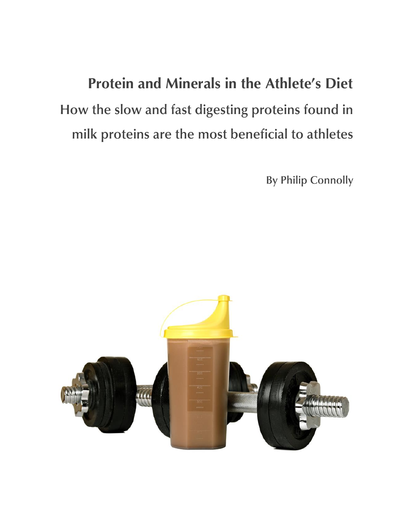# **Protein and Minerals in the Athlete's Diet**How the slow and fast digesting proteins found in milk proteins are the most beneficial to athletes

**By Philip Connolly** 

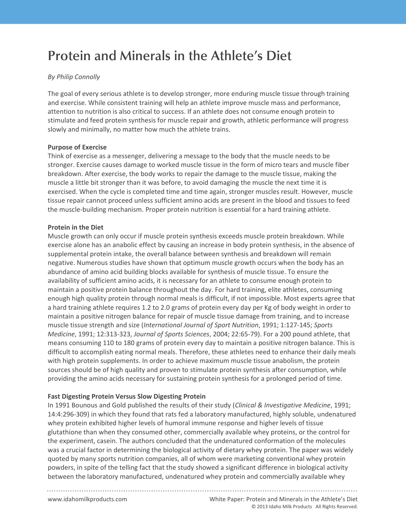# **Protein and Minerals in the Athlete's Diet**

## *By Philip Connolly*

and exercise. While consistent training will help an athlete improve muscle mass and performance,<br>attention to putrition is also critical to success. If an athlete does not consume enough protein to The goal of every serious athlete is to develop stronger, more enduring muscle tissue through training attention to nutrition is also critical to success. If an athlete does not consume enough protein to stimulate and feed protein synthesis for muscle repair and growth, athletic performance will progress slowly and minimally, no matter how much the athlete trains.

#### **Purpose of Exercise**

Think of exercise as a messenger, delivering a message to the body that the muscle needs to be stronger. Exercise causes damage to worked muscle tissue in the form of micro tears and muscle fiber breakdown. After exercise, the body works to repair the damage to the muscle tissue, making the muscle a little bit stronger than it was before, to avoid damaging the muscle the next time it is exercised. When the cycle is completed time and time again, stronger muscles result. However, muscle tissue repair cannot proceed unless sufficient amino acids are present in the blood and tissues to feed the muscle-building mechanism. Proper protein nutrition is essential for a hard training athlete.

### **Protein in the Diet**

Muscle growth can only occur if muscle protein synthesis exceeds muscle protein breakdown. While exercise alone has an anabolic effect by causing an increase in body protein synthesis, in the absence of supplemental protein intake, the overall balance between synthesis and breakdown will remain negative. Numerous studies have shown that optimum muscle growth occurs when the body has an abundance of amino acid building blocks available for synthesis of muscle tissue. To ensure the availability of sufficient amino acids, it is necessary for an athlete to consume enough protein to maintain a positive protein balance throughout the day. For hard training, elite athletes, consuming enough high quality protein through normal meals is difficult, if not impossible. Most experts agree that a hard training athlete requires 1.2 to 2.0 grams of protein every day per Kg of body weight in order to maintain a positive nitrogen balance for repair of muscle tissue damage from training, and to increase muscle tissue strength and size (*International Journal of Sport Nutrition*, 1991; 1:127-145; *Sports Medicine*, 1991; 12:313-323, *Journal of Sports Sciences*, 2004; 22:65-79). For a 200 pound athlete, that means consuming 110 to 180 grams of protein every day to maintain a positive nitrogen balance. This is difficult to accomplish eating normal meals. Therefore, these athletes need to enhance their daily meals with high protein supplements. In order to achieve maximum muscle tissue anabolism, the protein sources should be of high quality and proven to stimulate protein synthesis after consumption, while providing the amino acids necessary for sustaining protein synthesis for a prolonged period of time.

#### **Fast Digesting Protein Versus Slow Digesting Protein**

In 1991 Bounous and Gold published the results of their study (*Clinical & Investigative Medicine*, 1991; 14:4:296-309) in which they found that rats fed a laboratory manufactured, highly soluble, undenatured whey protein exhibited higher levels of humoral immune response and higher levels of tissue glutathione than when they consumed other, commercially available whey proteins, or the control for the experiment, casein. The authors concluded that the undenatured conformation of the molecules was a crucial factor in determining the biological activity of dietary whey protein. The paper was widely quoted by many sports nutrition companies, all of whom were marketing conventional whey protein powders, in spite of the telling fact that the study showed a significant difference in biological activity between the laboratory manufactured, undenatured whey protein and commercially available whey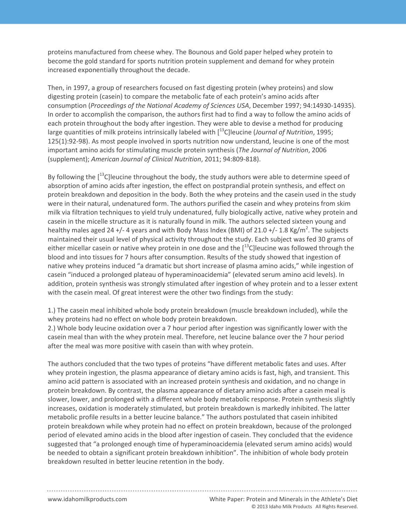proteins manufactured from cheese whey. The Bounous and Gold paper helped whey protein to become the gold standard for sports nutrition protein supplement and demand for whey protein increased exponentially throughout the decade.

consumption (*Proceedings of the National Academy of Sciences USA*, December 1997; 94:14930-14935). Then, in 1997, a group of researchers focused on fast digesting protein (whey proteins) and slow digesting protein (casein) to compare the metabolic fate of each protein's amino acids after In order to accomplish the comparison, the authors first had to find a way to follow the amino acids of each protein throughout the body after ingestion. They were able to devise a method for producing large quantities of milk proteins intrinsically labeled with [<sup>13</sup>C] leucine (*Journal of Nutrition*, 1995; 125(1):92-98). As most people involved in sports nutrition now understand, leucine is one of the most important amino acids for stimulating muscle protein synthesis (*The Journal of Nutrition*, 2006 (supplement); *American Journal of Clinical Nutrition*, 2011; 94:809-818).

By following the  $[13C]$ leucine throughout the body, the study authors were able to determine speed of absorption of amino acids after ingestion, the effect on postprandial protein synthesis, and effect on protein breakdown and deposition in the body. Both the whey proteins and the casein used in the study were in their natural, undenatured form. The authors purified the casein and whey proteins from skim milk via filtration techniques to yield truly undenatured, fully biologically active, native whey protein and casein in the micelle structure as it is naturally found in milk. The authors selected sixteen young and healthy males aged 24 +/- 4 years and with Body Mass Index (BMI) of 21.0 +/- 1.8 Kg/m<sup>2</sup>. The subjects maintained their usual level of physical activity throughout the study. Each subject was fed 30 grams of either micellar casein or native whey protein in one dose and the  $[13C]$ leucine was followed through the blood and into tissues for 7 hours after consumption. Results of the study showed that ingestion of native whey proteins induced "a dramatic but short increase of plasma amino acids," while ingestion of casein "induced a prolonged plateau of hyperaminoacidemia" (elevated serum amino acid levels). In addition, protein synthesis was strongly stimulated after ingestion of whey protein and to a lesser extent with the casein meal. Of great interest were the other two findings from the study:

1.) The casein meal inhibited whole body protein breakdown (muscle breakdown included), while the whey proteins had no effect on whole body protein breakdown.

2.) Whole body leucine oxidation over a 7 hour period after ingestion was significantly lower with the casein meal than with the whey protein meal. Therefore, net leucine balance over the 7 hour period after the meal was more positive with casein than with whey protein.

The authors concluded that the two types of proteins "have different metabolic fates and uses. After whey protein ingestion, the plasma appearance of dietary amino acids is fast, high, and transient. This amino acid pattern is associated with an increased protein synthesis and oxidation, and no change in protein breakdown. By contrast, the plasma appearance of dietary amino acids after a casein meal is slower, lower, and prolonged with a different whole body metabolic response. Protein synthesis slightly increases, oxidation is moderately stimulated, but protein breakdown is markedly inhibited. The latter metabolic profile results in a better leucine balance." The authors postulated that casein inhibited protein breakdown while whey protein had no effect on protein breakdown, because of the prolonged period of elevated amino acids in the blood after ingestion of casein. They concluded that the evidence suggested that "a prolonged enough time of hyperaminoacidemia (elevated serum amino acids) would be needed to obtain a significant protein breakdown inhibition". The inhibition of whole body protein breakdown resulted in better leucine retention in the body.

www.idahomilkproducts.com White Paper: Protein and Minerals in the Athlete's Diet

© 2013 Idaho Milk Products All Rights Reserved.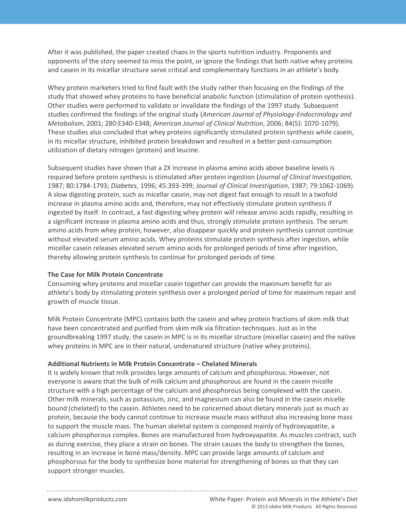After it was published, the paper created chaos in the sports nutrition industry. Proponents and opponents of the story seemed to miss the point, or ignore the findings that both native whey proteins and casein in its micellar structure serve critical and complementary functions in an athlete's body.

Other studies were performed to validate or invalidate the findings of the 1997 study. Subsequent Whey protein marketers tried to find fault with the study rather than focusing on the findings of the study that showed whey proteins to have beneficial anabolic function (stimulation of protein synthesis). studies confirmed the findings of the original study (*American Journal of Physiology-Endocrinology and Metabolism*, 2001; 280:E340-E348; *American Journal of Clinical Nutrition*, 2006; 84(5): 1070-1079). These studies also concluded that whey proteins significantly stimulated protein synthesis while casein, in its micellar structure, inhibited protein breakdown and resulted in a better post-consumption utilization of dietary nitrogen (protein) and leucine.

Subsequent studies have shown that a 2X increase in plasma amino acids above baseline levels is required before protein synthesis is stimulated after protein ingestion (*Journal of Clinical Investigation*, 1987; 80:1784-1793; *Diabetes*, 1996; 45:393-399; *Journal of Clinical Investigation*, 1987; 79:1062-1069). A slow digesting protein, such as micellar casein, may not digest fast enough to result in a twofold increase in plasma amino acids and, therefore, may not effectively stimulate protein synthesis if ingested by itself. In contrast, a fast digesting whey protein will release amino acids rapidly, resulting in a significant increase in plasma amino acids and thus, strongly stimulate protein synthesis. The serum amino acids from whey protein, however, also disappear quickly and protein synthesis cannot continue without elevated serum amino acids. Whey proteins stimulate protein synthesis after ingestion, while micellar casein releases elevated serum amino acids for prolonged periods of time after ingestion, thereby allowing protein synthesis to continue for prolonged periods of time.

#### **The Case for Milk Protein Concentrate**

Consuming whey proteins and micellar casein together can provide the maximum benefit for an athlete's body by stimulating protein synthesis over a prolonged period of time for maximum repair and growth of muscle tissue.

Milk Protein Concentrate (MPC) contains both the casein and whey protein fractions of skim milk that have been concentrated and purified from skim milk via filtration techniques. Just as in the groundbreaking 1997 study, the casein in MPC is in its micellar structure (micellar casein) and the native whey proteins in MPC are in their natural, undenatured structure (native whey proteins).

#### **Additional Nutrients in Milk Protein Concentrate – Chelated Minerals**

It is widely known that milk provides large amounts of calcium and phosphorous. However, not everyone is aware that the bulk of milk calcium and phosphorous are found in the casein micelle structure with a high percentage of the calcium and phosphorous being complexed with the casein. Other milk minerals, such as potassium, zinc, and magnesium can also be found in the casein micelle bound (chelated) to the casein. Athletes need to be concerned about dietary minerals just as much as protein, because the body cannot continue to increase muscle mass without also increasing bone mass to support the muscle mass. The human skeletal system is composed mainly of hydroxyapatite, a calcium phosphorous complex. Bones are manufactured from hydroxyapatite. As muscles contract, such as during exercise, they place a strain on bones. The strain causes the body to strengthen the bones, resulting in an increase in bone mass/density. MPC can provide large amounts of calcium and phosphorous for the body to synthesize bone material for strengthening of bones so that they can support stronger muscles.

www.idahomilkproducts.com White Paper: Protein and Minerals in the Athlete's Diet © 2013 Idaho Milk Products All Rights Reserved.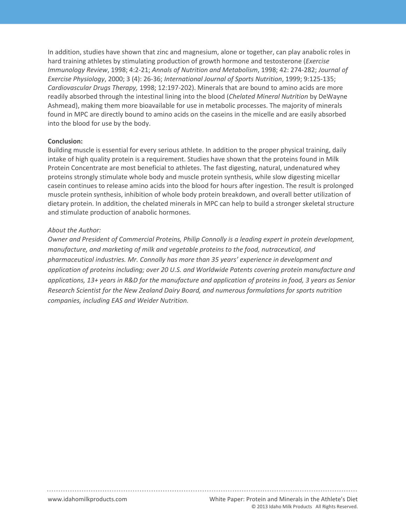Ashmead), making them more bioavailable for use in metabolic processes. The majority of minerals In addition, studies have shown that zinc and magnesium, alone or together, can play anabolic roles in hard training athletes by stimulating production of growth hormone and testosterone (*Exercise Immunology Review*, 1998; 4:2-21; *Annals of Nutrition and Metabolism*, 1998; 42: 274-282; *Journal of Exercise Physiology*, 2000; 3 (4): 26-36; *International Journal of Sports Nutrition*, 1999; 9:125-135; *Cardiovascular Drugs Therapy,* 1998; 12:197-202). Minerals that are bound to amino acids are more readily absorbed through the intestinal lining into the blood (*Chelated Mineral Nutrition* by DeWayne found in MPC are directly bound to amino acids on the caseins in the micelle and are easily absorbed into the blood for use by the body.

#### **Conclusion:**

Building muscle is essential for every serious athlete. In addition to the proper physical training, daily intake of high quality protein is a requirement. Studies have shown that the proteins found in Milk Protein Concentrate are most beneficial to athletes. The fast digesting, natural, undenatured whey proteins strongly stimulate whole body and muscle protein synthesis, while slow digesting micellar casein continues to release amino acids into the blood for hours after ingestion. The result is prolonged muscle protein synthesis, inhibition of whole body protein breakdown, and overall better utilization of dietary protein. In addition, the chelated minerals in MPC can help to build a stronger skeletal structure and stimulate production of anabolic hormones.

#### *About the Author:*

*Owner and President of Commercial Proteins, Philip Connolly is a leading expert in protein development, manufacture, and marketing of milk and vegetable proteins to the food, nutraceutical, and pharmaceutical industries. Mr. Connolly has more than 35 years' experience in development and application of proteins including; over 20 U.S. and Worldwide Patents covering protein manufacture and applications, 13+ years in R&D for the manufacture and application of proteins in food, 3 years as Senior Research Scientist for the New Zealand Dairy Board, and numerous formulations for sports nutrition companies, including EAS and Weider Nutrition.*